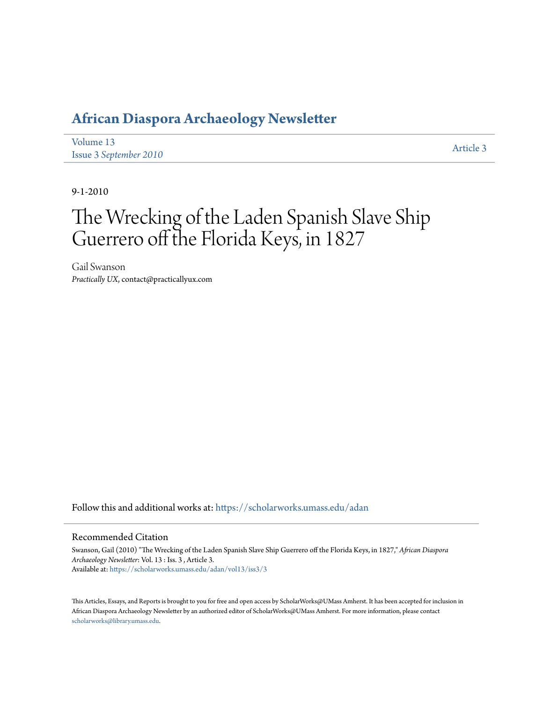## **[African Diaspora Archaeology Newsletter](https://scholarworks.umass.edu/adan?utm_source=scholarworks.umass.edu%2Fadan%2Fvol13%2Fiss3%2F3&utm_medium=PDF&utm_campaign=PDFCoverPages)**

| Volume 13              | Article 3 |
|------------------------|-----------|
| Issue 3 September 2010 |           |

9-1-2010

# The Wrecking of the Laden Spanish Slave Ship Guerrero off the Florida Keys, in 1827

Gail Swanson *Practically UX*, contact@practicallyux.com

Follow this and additional works at: [https://scholarworks.umass.edu/adan](https://scholarworks.umass.edu/adan?utm_source=scholarworks.umass.edu%2Fadan%2Fvol13%2Fiss3%2F3&utm_medium=PDF&utm_campaign=PDFCoverPages)

#### Recommended Citation

Swanson, Gail (2010) "The Wrecking of the Laden Spanish Slave Ship Guerrero off the Florida Keys, in 1827," *African Diaspora Archaeology Newsletter*: Vol. 13 : Iss. 3 , Article 3. Available at: [https://scholarworks.umass.edu/adan/vol13/iss3/3](https://scholarworks.umass.edu/adan/vol13/iss3/3?utm_source=scholarworks.umass.edu%2Fadan%2Fvol13%2Fiss3%2F3&utm_medium=PDF&utm_campaign=PDFCoverPages)

This Articles, Essays, and Reports is brought to you for free and open access by ScholarWorks@UMass Amherst. It has been accepted for inclusion in African Diaspora Archaeology Newsletter by an authorized editor of ScholarWorks@UMass Amherst. For more information, please contact [scholarworks@library.umass.edu](mailto:scholarworks@library.umass.edu).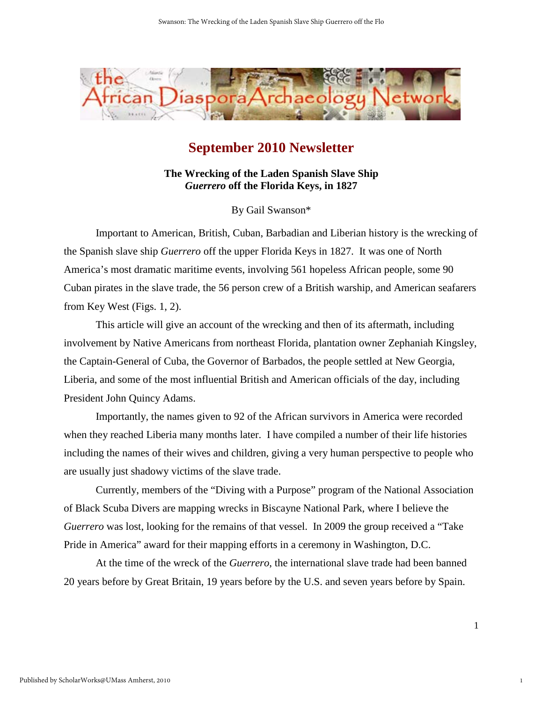

### **September 2010 Newsletter**

**The Wrecking of the Laden Spanish Slave Ship** *Guerrero* **off the Florida Keys, in 1827** 

By Gail Swanson\*

Important to American, British, Cuban, Barbadian and Liberian history is the wrecking of the Spanish slave ship *Guerrero* off the upper Florida Keys in 1827. It was one of North America's most dramatic maritime events, involving 561 hopeless African people, some 90 Cuban pirates in the slave trade, the 56 person crew of a British warship, and American seafarers from Key West (Figs. 1, 2).

 This article will give an account of the wrecking and then of its aftermath, including involvement by Native Americans from northeast Florida, plantation owner Zephaniah Kingsley, the Captain-General of Cuba, the Governor of Barbados, the people settled at New Georgia, Liberia, and some of the most influential British and American officials of the day, including President John Quincy Adams.

 Importantly, the names given to 92 of the African survivors in America were recorded when they reached Liberia many months later. I have compiled a number of their life histories including the names of their wives and children, giving a very human perspective to people who are usually just shadowy victims of the slave trade.

 Currently, members of the "Diving with a Purpose" program of the National Association of Black Scuba Divers are mapping wrecks in Biscayne National Park, where I believe the *Guerrero* was lost, looking for the remains of that vessel. In 2009 the group received a "Take Pride in America" award for their mapping efforts in a ceremony in Washington, D.C.

At the time of the wreck of the *Guerrero*, the international slave trade had been banned 20 years before by Great Britain, 19 years before by the U.S. and seven years before by Spain.

1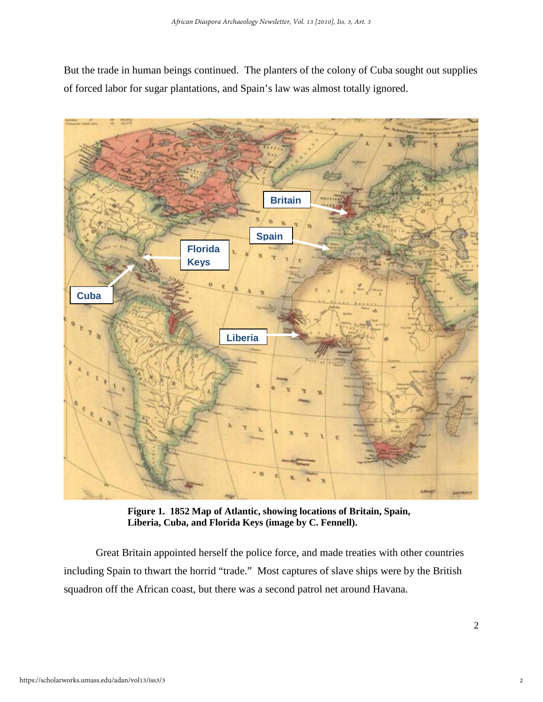But the trade in human beings continued. The planters of the colony of Cuba sought out supplies of forced labor for sugar plantations, and Spain's law was almost totally ignored.



**Figure 1. 1852 Map of Atlantic, showing locations of Britain, Spain, Liberia, Cuba, and Florida Keys (image by C. Fennell).** 

Great Britain appointed herself the police force, and made treaties with other countries including Spain to thwart the horrid "trade." Most captures of slave ships were by the British squadron off the African coast, but there was a second patrol net around Havana.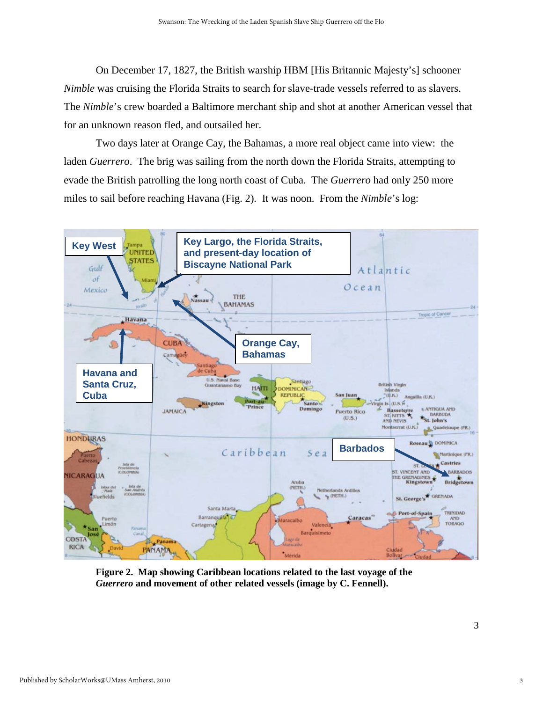On December 17, 1827, the British warship HBM [His Britannic Majesty's] schooner *Nimble* was cruising the Florida Straits to search for slave-trade vessels referred to as slavers. The *Nimble*'s crew boarded a Baltimore merchant ship and shot at another American vessel that for an unknown reason fled, and outsailed her.

Two days later at Orange Cay, the Bahamas, a more real object came into view: the laden *Guerrero*. The brig was sailing from the north down the Florida Straits, attempting to evade the British patrolling the long north coast of Cuba. The *Guerrero* had only 250 more miles to sail before reaching Havana (Fig. 2). It was noon. From the *Nimble*'s log:



**Figure 2. Map showing Caribbean locations related to the last voyage of the**  *Guerrero* **and movement of other related vessels (image by C. Fennell).**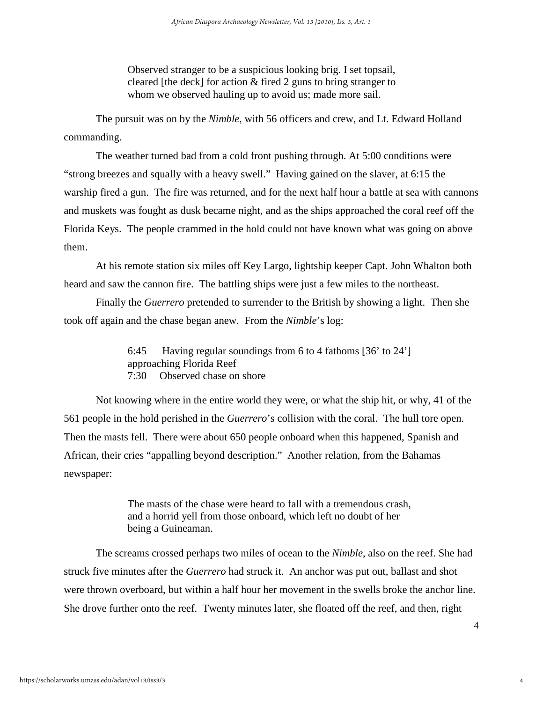Observed stranger to be a suspicious looking brig. I set topsail, cleared [the deck] for action & fired 2 guns to bring stranger to whom we observed hauling up to avoid us; made more sail.

 The pursuit was on by the *Nimble*, with 56 officers and crew, and Lt. Edward Holland commanding.

The weather turned bad from a cold front pushing through. At 5:00 conditions were "strong breezes and squally with a heavy swell." Having gained on the slaver, at 6:15 the warship fired a gun. The fire was returned, and for the next half hour a battle at sea with cannons and muskets was fought as dusk became night, and as the ships approached the coral reef off the Florida Keys. The people crammed in the hold could not have known what was going on above them.

At his remote station six miles off Key Largo, lightship keeper Capt. John Whalton both heard and saw the cannon fire. The battling ships were just a few miles to the northeast.

Finally the *Guerrero* pretended to surrender to the British by showing a light. Then she took off again and the chase began anew. From the *Nimble*'s log:

> 6:45 Having regular soundings from 6 to 4 fathoms [36' to 24'] approaching Florida Reef 7:30 Observed chase on shore

 Not knowing where in the entire world they were, or what the ship hit, or why, 41 of the 561 people in the hold perished in the *Guerrero*'s collision with the coral. The hull tore open. Then the masts fell. There were about 650 people onboard when this happened, Spanish and African, their cries "appalling beyond description." Another relation, from the Bahamas newspaper:

> The masts of the chase were heard to fall with a tremendous crash, and a horrid yell from those onboard, which left no doubt of her being a Guineaman.

The screams crossed perhaps two miles of ocean to the *Nimble*, also on the reef. She had struck five minutes after the *Guerrero* had struck it. An anchor was put out, ballast and shot were thrown overboard, but within a half hour her movement in the swells broke the anchor line. She drove further onto the reef. Twenty minutes later, she floated off the reef, and then, right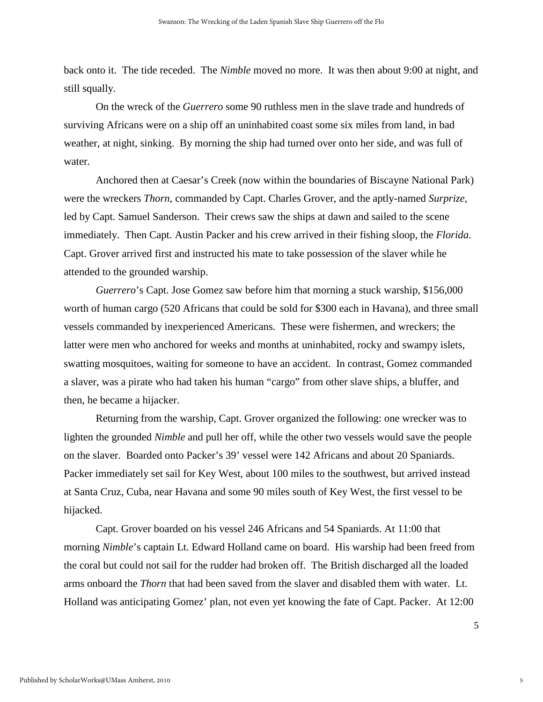back onto it. The tide receded. The *Nimble* moved no more. It was then about 9:00 at night, and still squally.

 On the wreck of the *Guerrero* some 90 ruthless men in the slave trade and hundreds of surviving Africans were on a ship off an uninhabited coast some six miles from land, in bad weather, at night, sinking. By morning the ship had turned over onto her side, and was full of water.

 Anchored then at Caesar's Creek (now within the boundaries of Biscayne National Park) were the wreckers *Thorn*, commanded by Capt. Charles Grover, and the aptly-named *Surprize*, led by Capt. Samuel Sanderson. Their crews saw the ships at dawn and sailed to the scene immediately. Then Capt. Austin Packer and his crew arrived in their fishing sloop, the *Florida*. Capt. Grover arrived first and instructed his mate to take possession of the slaver while he attended to the grounded warship.

*Guerrero*'s Capt. Jose Gomez saw before him that morning a stuck warship, \$156,000 worth of human cargo (520 Africans that could be sold for \$300 each in Havana), and three small vessels commanded by inexperienced Americans. These were fishermen, and wreckers; the latter were men who anchored for weeks and months at uninhabited, rocky and swampy islets, swatting mosquitoes, waiting for someone to have an accident. In contrast, Gomez commanded a slaver, was a pirate who had taken his human "cargo" from other slave ships, a bluffer, and then, he became a hijacker.

 Returning from the warship, Capt. Grover organized the following: one wrecker was to lighten the grounded *Nimble* and pull her off, while the other two vessels would save the people on the slaver. Boarded onto Packer's 39' vessel were 142 Africans and about 20 Spaniards. Packer immediately set sail for Key West, about 100 miles to the southwest, but arrived instead at Santa Cruz, Cuba, near Havana and some 90 miles south of Key West, the first vessel to be hijacked.

 Capt. Grover boarded on his vessel 246 Africans and 54 Spaniards. At 11:00 that morning *Nimble*'s captain Lt. Edward Holland came on board. His warship had been freed from the coral but could not sail for the rudder had broken off. The British discharged all the loaded arms onboard the *Thorn* that had been saved from the slaver and disabled them with water. Lt. Holland was anticipating Gomez' plan, not even yet knowing the fate of Capt. Packer. At 12:00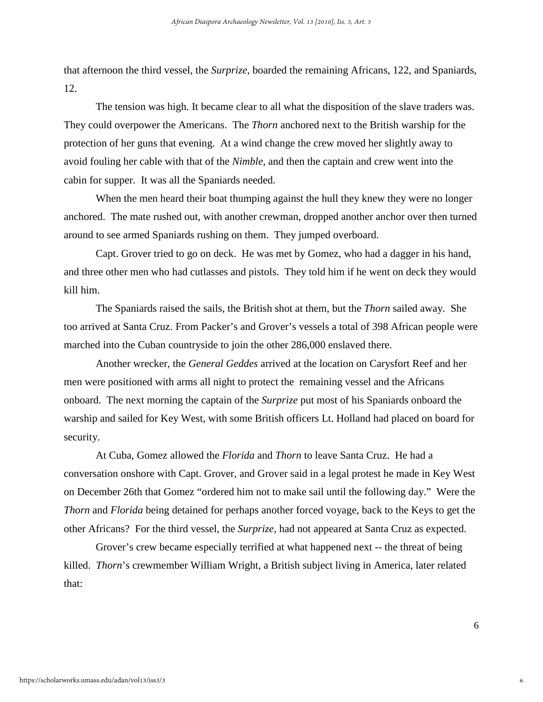that afternoon the third vessel, the *Surprize*, boarded the remaining Africans, 122, and Spaniards, 12.

 The tension was high. It became clear to all what the disposition of the slave traders was. They could overpower the Americans. The *Thorn* anchored next to the British warship for the protection of her guns that evening. At a wind change the crew moved her slightly away to avoid fouling her cable with that of the *Nimble*, and then the captain and crew went into the cabin for supper. It was all the Spaniards needed.

When the men heard their boat thumping against the hull they knew they were no longer anchored. The mate rushed out, with another crewman, dropped another anchor over then turned around to see armed Spaniards rushing on them. They jumped overboard.

 Capt. Grover tried to go on deck. He was met by Gomez, who had a dagger in his hand, and three other men who had cutlasses and pistols. They told him if he went on deck they would kill him.

 The Spaniards raised the sails, the British shot at them, but the *Thorn* sailed away. She too arrived at Santa Cruz. From Packer's and Grover's vessels a total of 398 African people were marched into the Cuban countryside to join the other 286,000 enslaved there.

 Another wrecker, the *General Geddes* arrived at the location on Carysfort Reef and her men were positioned with arms all night to protect the remaining vessel and the Africans onboard. The next morning the captain of the *Surprize* put most of his Spaniards onboard the warship and sailed for Key West, with some British officers Lt. Holland had placed on board for security.

 At Cuba, Gomez allowed the *Florida* and *Thorn* to leave Santa Cruz. He had a conversation onshore with Capt. Grover, and Grover said in a legal protest he made in Key West on December 26th that Gomez "ordered him not to make sail until the following day." Were the *Thorn* and *Florida* being detained for perhaps another forced voyage, back to the Keys to get the other Africans? For the third vessel, the *Surprize*, had not appeared at Santa Cruz as expected.

Grover's crew became especially terrified at what happened next -- the threat of being killed. *Thorn*'s crewmember William Wright, a British subject living in America, later related that:

6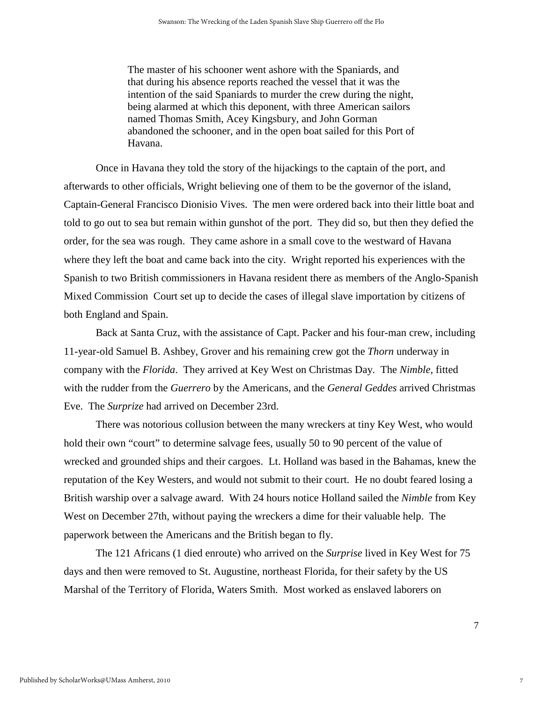The master of his schooner went ashore with the Spaniards, and that during his absence reports reached the vessel that it was the intention of the said Spaniards to murder the crew during the night, being alarmed at which this deponent, with three American sailors named Thomas Smith, Acey Kingsbury, and John Gorman abandoned the schooner, and in the open boat sailed for this Port of Havana.

 Once in Havana they told the story of the hijackings to the captain of the port, and afterwards to other officials, Wright believing one of them to be the governor of the island, Captain-General Francisco Dionisio Vives. The men were ordered back into their little boat and told to go out to sea but remain within gunshot of the port. They did so, but then they defied the order, for the sea was rough. They came ashore in a small cove to the westward of Havana where they left the boat and came back into the city. Wright reported his experiences with the Spanish to two British commissioners in Havana resident there as members of the Anglo-Spanish Mixed Commission Court set up to decide the cases of illegal slave importation by citizens of both England and Spain.

Back at Santa Cruz, with the assistance of Capt. Packer and his four-man crew, including 11-year-old Samuel B. Ashbey, Grover and his remaining crew got the *Thorn* underway in company with the *Florida*. They arrived at Key West on Christmas Day. The *Nimble*, fitted with the rudder from the *Guerrero* by the Americans, and the *General Geddes* arrived Christmas Eve. The *Surprize* had arrived on December 23rd.

There was notorious collusion between the many wreckers at tiny Key West, who would hold their own "court" to determine salvage fees, usually 50 to 90 percent of the value of wrecked and grounded ships and their cargoes. Lt. Holland was based in the Bahamas, knew the reputation of the Key Westers, and would not submit to their court. He no doubt feared losing a British warship over a salvage award. With 24 hours notice Holland sailed the *Nimble* from Key West on December 27th, without paying the wreckers a dime for their valuable help. The paperwork between the Americans and the British began to fly.

 The 121 Africans (1 died enroute) who arrived on the *Surprise* lived in Key West for 75 days and then were removed to St. Augustine, northeast Florida, for their safety by the US Marshal of the Territory of Florida, Waters Smith. Most worked as enslaved laborers on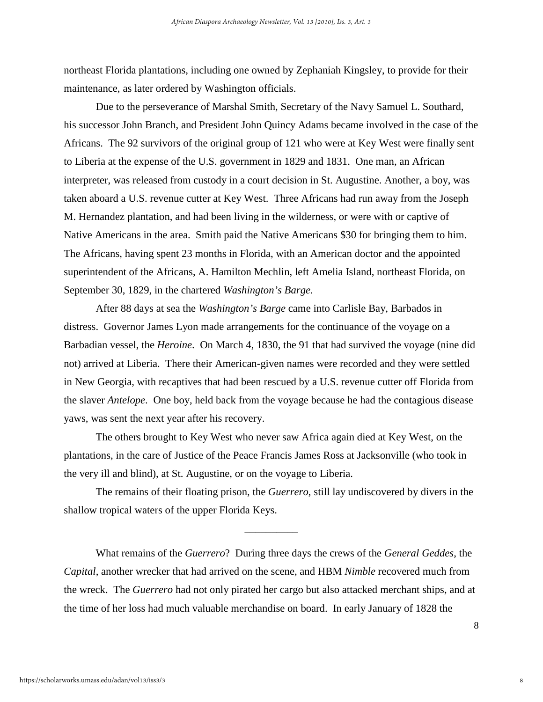northeast Florida plantations, including one owned by Zephaniah Kingsley, to provide for their maintenance, as later ordered by Washington officials.

Due to the perseverance of Marshal Smith, Secretary of the Navy Samuel L. Southard, his successor John Branch, and President John Quincy Adams became involved in the case of the Africans. The 92 survivors of the original group of 121 who were at Key West were finally sent to Liberia at the expense of the U.S. government in 1829 and 1831. One man, an African interpreter, was released from custody in a court decision in St. Augustine. Another, a boy, was taken aboard a U.S. revenue cutter at Key West. Three Africans had run away from the Joseph M. Hernandez plantation, and had been living in the wilderness, or were with or captive of Native Americans in the area. Smith paid the Native Americans \$30 for bringing them to him. The Africans, having spent 23 months in Florida, with an American doctor and the appointed superintendent of the Africans, A. Hamilton Mechlin, left Amelia Island, northeast Florida, on September 30, 1829, in the chartered *Washington's Barge.*

After 88 days at sea the *Washington's Barge* came into Carlisle Bay, Barbados in distress. Governor James Lyon made arrangements for the continuance of the voyage on a Barbadian vessel, the *Heroine*. On March 4, 1830, the 91 that had survived the voyage (nine did not) arrived at Liberia. There their American-given names were recorded and they were settled in New Georgia, with recaptives that had been rescued by a U.S. revenue cutter off Florida from the slaver *Antelope*. One boy, held back from the voyage because he had the contagious disease yaws, was sent the next year after his recovery.

 The others brought to Key West who never saw Africa again died at Key West, on the plantations, in the care of Justice of the Peace Francis James Ross at Jacksonville (who took in the very ill and blind), at St. Augustine, or on the voyage to Liberia.

 The remains of their floating prison, the *Guerrero*, still lay undiscovered by divers in the shallow tropical waters of the upper Florida Keys.

\_\_\_\_\_\_\_\_\_\_

What remains of the *Guerrero*? During three days the crews of the *General Geddes*, the *Capital*, another wrecker that had arrived on the scene, and HBM *Nimble* recovered much from the wreck. The *Guerrero* had not only pirated her cargo but also attacked merchant ships, and at the time of her loss had much valuable merchandise on board. In early January of 1828 the